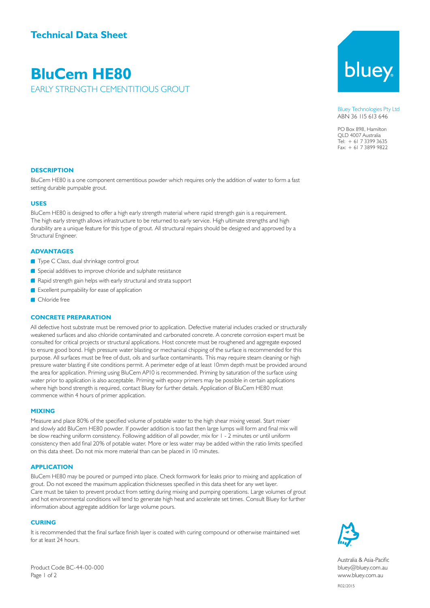**BluCem HE80**

EARLY STRENGTH CEMENTITIOUS GROUT

# bluey

Bluey Technologies Pty Ltd ABN 36 115 613 646

PO Box 898, Hamilton QLD 4007 Australia Tel: + 61 7 3399 3635 Fax: + 61 7 3899 9822

#### **DESCRIPTION**

BluCem HE80 is a one component cementitious powder which requires only the addition of water to form a fast setting durable pumpable grout.

#### **USES**

BluCem HE80 is designed to offer a high early strength material where rapid strength gain is a requirement. The high early strength allows infrastructure to be returned to early service. High ultimate strengths and high durability are a unique feature for this type of grout. All structural repairs should be designed and approved by a Structural Engineer.

#### **ADVANTAGES**

- **Type C Class, dual shrinkage control grout**
- Special additives to improve chloride and sulphate resistance
- Rapid strength gain helps with early structural and strata support
- **Excellent pumpability for ease of application**
- Chloride free

#### **CONCRETE PREPARATION**

All defective host substrate must be removed prior to application. Defective material includes cracked or structurally weakened surfaces and also chloride contaminated and carbonated concrete. A concrete corrosion expert must be consulted for critical projects or structural applications. Host concrete must be roughened and aggregate exposed to ensure good bond. High pressure water blasting or mechanical chipping of the surface is recommended for this purpose. All surfaces must be free of dust, oils and surface contaminants. This may require steam cleaning or high pressure water blasting if site conditions permit. A perimeter edge of at least 10mm depth must be provided around the area for application. Priming using BluCem AP10 is recommended. Priming by saturation of the surface using water prior to application is also acceptable. Priming with epoxy primers may be possible in certain applications where high bond strength is required, contact Bluey for further details. Application of BluCem HE80 must commence within 4 hours of primer application.

#### **MIXING**

Measure and place 80% of the specified volume of potable water to the high shear mixing vessel. Start mixer and slowly add BluCem HE80 powder. If powder addition is too fast then large lumps will form and final mix will be slow reaching uniform consistency. Following addition of all powder, mix for 1 - 2 minutes or until uniform consistency then add final 20% of potable water. More or less water may be added within the ratio limits specified on this data sheet. Do not mix more material than can be placed in 10 minutes.

#### **APPLICATION**

BluCem HE80 may be poured or pumped into place. Check formwork for leaks prior to mixing and application of grout. Do not exceed the maximum application thicknesses specified in this data sheet for any wet layer. Care must be taken to prevent product from setting during mixing and pumping operations. Large volumes of grout and hot environmental conditions will tend to generate high heat and accelerate set times. Consult Bluey for further information about aggregate addition for large volume pours.

#### **CURING**

It is recommended that the final surface finish layer is coated with curing compound or otherwise maintained wet for at least 24 hours.



Australia & Asia-Pacific bluey@bluey.com.au www.bluey.com.au

Product Code BC-44-00-000 Page 1 of 2

R02/2015